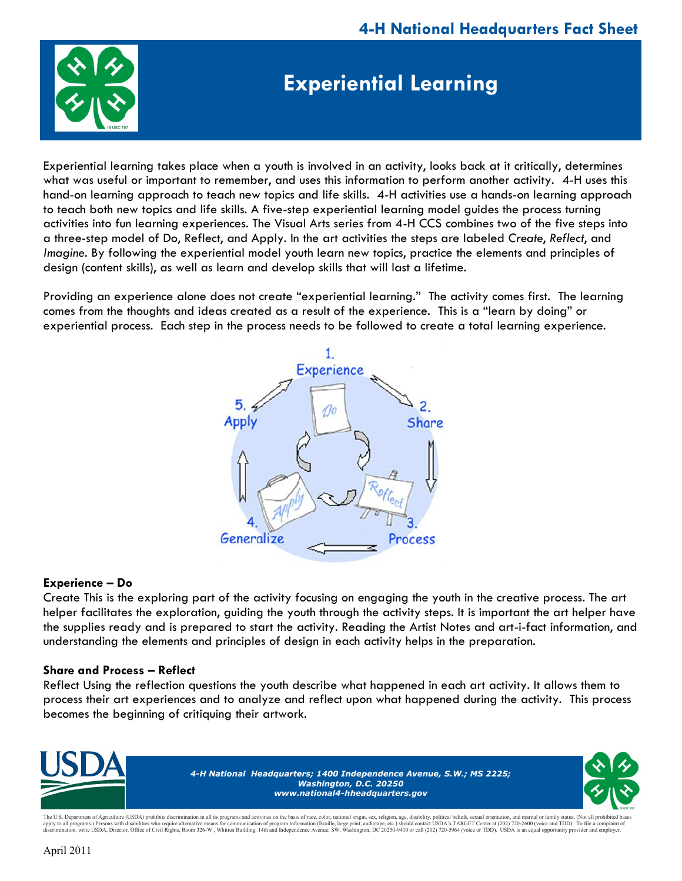

## **Experiential Learning**

Experiential learning takes place when a youth is involved in an activity, looks back at it critically, determines what was useful or important to remember, and uses this information to perform another activity. 4-H uses this hand-on learning approach to teach new topics and life skills. 4-H activities use a hands-on learning approach to teach both new topics and life skills. A five-step experiential learning model guides the process turning activities into fun learning experiences. The Visual Arts series from 4-H CCS combines two of the five steps into a three-step model of Do, Reflect, and Apply. In the art activities the steps are labeled *Create*, *Reflect*, and *Imagine*. By following the experiential model youth learn new topics, practice the elements and principles of design (content skills), as well as learn and develop skills that will last a lifetime.

Providing an experience alone does not create "experiential learning." The activity comes first. The learning comes from the thoughts and ideas created as a result of the experience. This is a "learn by doing" or experiential process. Each step in the process needs to be followed to create a total learning experience.



## **Experience – Do**

Create This is the exploring part of the activity focusing on engaging the youth in the creative process. The art helper facilitates the exploration, guiding the youth through the activity steps. It is important the art helper have the supplies ready and is prepared to start the activity. Reading the Artist Notes and art-i-fact information, and understanding the elements and principles of design in each activity helps in the preparation.

## **Share and Process – Reflect**

Reflect Using the reflection questions the youth describe what happened in each art activity. It allows them to process their art experiences and to analyze and reflect upon what happened during the activity. This process becomes the beginning of critiquing their artwork.



The U.S. Department of Agriculture (USDA) prohibits discrimination in all its programs and activities on the basis of race, color, national origin, sex, religion, age, disability, political beliefs, sexual orientation, and apply to all programs.) Persons with disabilities who require alternative means for communication of program information (Braille, large print, audiotape, etc.) should contact USDA's TARGET Center at (202) 720-2600 (voice